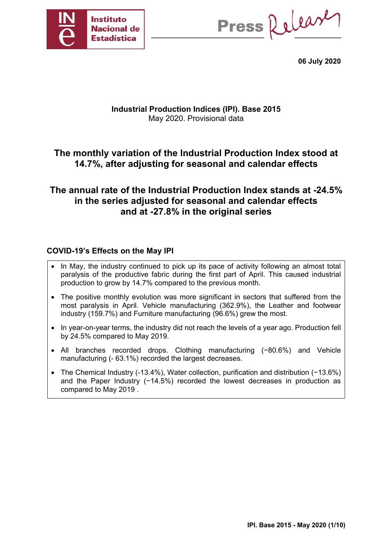

Press Release

**06 July 2020** 

# **Industrial Production Indices (IPI). Base 2015**  May 2020. Provisional data

# **The monthly variation of the Industrial Production Index stood at 14.7%, after adjusting for seasonal and calendar effects**

# **The annual rate of the Industrial Production Index stands at -24.5% in the series adjusted for seasonal and calendar effects and at -27.8% in the original series**

# **COVID-19's Effects on the May IPI**

- In May, the industry continued to pick up its pace of activity following an almost total paralysis of the productive fabric during the first part of April. This caused industrial production to grow by 14.7% compared to the previous month.
- The positive monthly evolution was more significant in sectors that suffered from the most paralysis in April. Vehicle manufacturing (362.9%), the Leather and footwear industry (159.7%) and Furniture manufacturing (96.6%) grew the most.
- In year-on-year terms, the industry did not reach the levels of a year ago. Production fell by 24.5% compared to May 2019.
- All branches recorded drops. Clothing manufacturing (−80.6%) and Vehicle manufacturing (- 63.1%) recorded the largest decreases.
- The Chemical Industry (-13.4%), Water collection, purification and distribution (−13.6%) and the Paper Industry (−14.5%) recorded the lowest decreases in production as compared to May 2019 .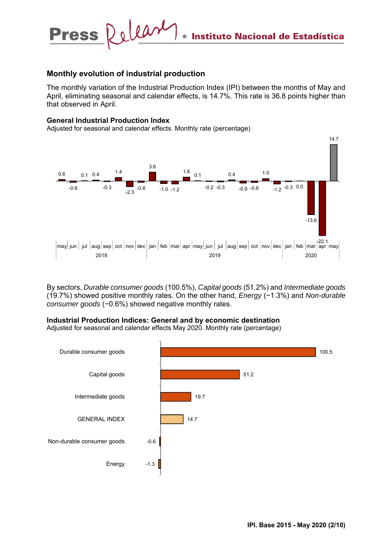# **Monthly evolution of industrial production**

The monthly variation of the Industrial Production Index (IPI) between the months of May and April, eliminating seasonal and calendar effects, is 14.7%. This rate is 36.8 points higher than that observed in April.

### **General Industrial Production Index**

Adjusted for seasonal and calendar effects. Monthly rate (percentage)



By sectors, *Durable consumer goods* (100.5%), *Capital goods* (51.2%) and *Intermediate goods* (19.7%) showed positive monthly rates. On the other hand, *Energy* (−1.3%) and *Non-durable consumer goods* (−0.6%) showed negative monthly rates.

## **Industrial Production Indices: General and by economic destination**

Adjusted for seasonal and calendar effects May 2020. Monthly rate (percentage)

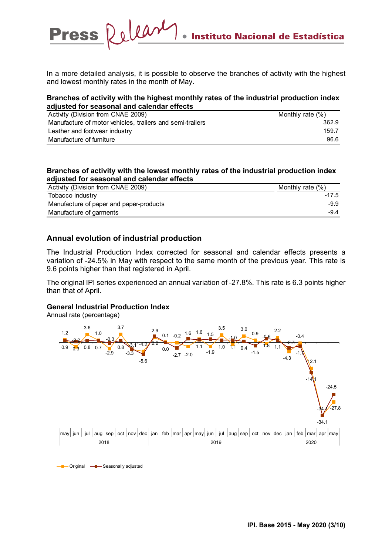In a more detailed analysis, it is possible to observe the branches of activity with the highest and lowest monthly rates in the month of May.

## **Branches of activity with the highest monthly rates of the industrial production index adjusted for seasonal and calendar effects**

| Activity (Division from CNAE 2009)                        | Monthly rate $(\%)$ |
|-----------------------------------------------------------|---------------------|
| Manufacture of motor vehicles, trailers and semi-trailers | 362.9               |
| Leather and footwear industry                             | 159.7               |
| Manufacture of furniture                                  | 96.6                |

### **Branches of activity with the lowest monthly rates of the industrial production index adjusted for seasonal and calendar effects**

| Activity (Division from CNAE 2009)      | Monthly rate (%) |
|-----------------------------------------|------------------|
| Tobacco industry                        | $-17.5$          |
| Manufacture of paper and paper-products | -9.9             |
| Manufacture of garments                 | $-9.4$           |

# **Annual evolution of industrial production**

Release

**Press** 

The Industrial Production Index corrected for seasonal and calendar effects presents a variation of -24.5% in May with respect to the same month of the previous year. This rate is 9.6 points higher than that registered in April.

The original IPI series experienced an annual variation of -27.8%. This rate is 6.3 points higher than that of April.

#### **General Industrial Production Index**

Annual rate (percentage)



**D** Original **-B** Seasonally adjusted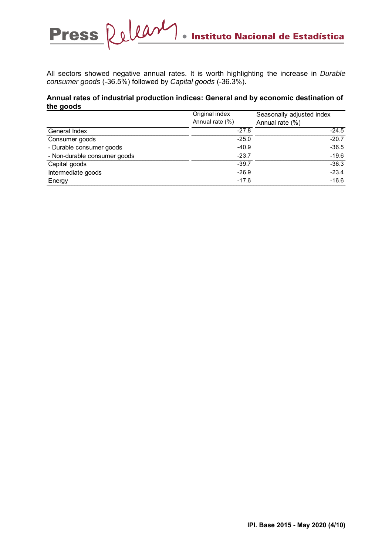All sectors showed negative annual rates. It is worth highlighting the increase in *Durable consumer goods* (-36.5%) followed by *Capital goods* (-36.3%).

### **Annual rates of industrial production indices: General and by economic destination of the goods**

|                              | Original index  | Seasonally adjusted index |  |  |
|------------------------------|-----------------|---------------------------|--|--|
|                              | Annual rate (%) | Annual rate (%)           |  |  |
| General Index                | $-27.8$         | $-24.5$                   |  |  |
| Consumer goods               | $-25.0$         | $-20.7$                   |  |  |
| - Durable consumer goods     | $-40.9$         | $-36.5$                   |  |  |
| - Non-durable consumer goods | $-23.7$         | $-19.6$                   |  |  |
| Capital goods                | $-39.7$         | $-36.3$                   |  |  |
| Intermediate goods           | $-26.9$         | $-23.4$                   |  |  |
| Energy                       | $-17.6$         | $-16.6$                   |  |  |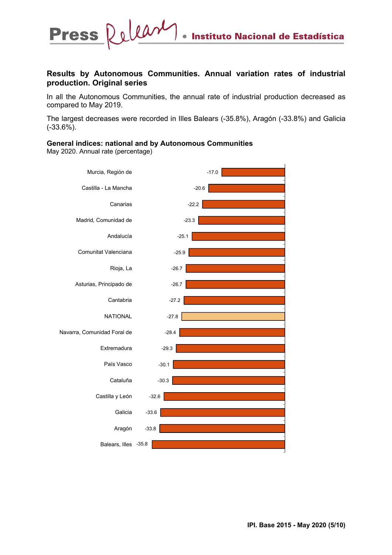

# **Results by Autonomous Communities. Annual variation rates of industrial production. Original series**

In all the Autonomous Communities, the annual rate of industrial production decreased as compared to May 2019.

The largest decreases were recorded in Illes Balears (-35.8%), Aragón (-33.8%) and Galicia (-33.6%).

**General indices: national and by Autonomous Communities** 

May 2020. Annual rate (percentage)

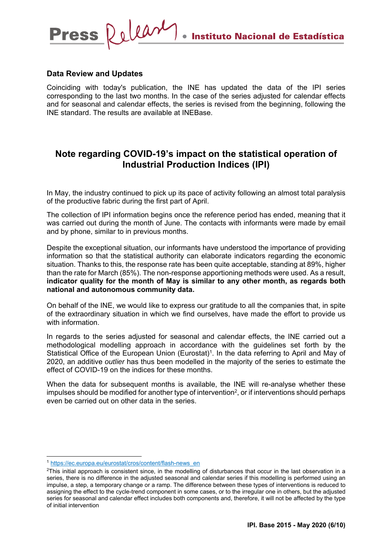## **Data Review and Updates**

Press Release

Coinciding with today's publication, the INE has updated the data of the IPI series corresponding to the last two months. In the case of the series adjusted for calendar effects and for seasonal and calendar effects, the series is revised from the beginning, following the INE standard. The results are available at INEBase.

# **Note regarding COVID-19's impact on the statistical operation of Industrial Production Indices (IPI)**

In May, the industry continued to pick up its pace of activity following an almost total paralysis of the productive fabric during the first part of April.

The collection of IPI information begins once the reference period has ended, meaning that it was carried out during the month of June. The contacts with informants were made by email and by phone, similar to in previous months.

Despite the exceptional situation, our informants have understood the importance of providing information so that the statistical authority can elaborate indicators regarding the economic situation. Thanks to this, the response rate has been quite acceptable, standing at 89%, higher than the rate for March (85%). The non-response apportioning methods were used. As a result, **indicator quality for the month of May is similar to any other month, as regards both national and autonomous community data.**

On behalf of the INE, we would like to express our gratitude to all the companies that, in spite of the extraordinary situation in which we find ourselves, have made the effort to provide us with information.

In regards to the series adjusted for seasonal and calendar effects, the INE carried out a methodological modelling approach in accordance with the guidelines set forth by the Statistical Office of the European Union (Eurostat)<sup>1</sup>. In the data referring to April and May of 2020, an additive *outlier* has thus been modelled in the majority of the series to estimate the effect of COVID-19 on the indices for these months.

When the data for subsequent months is available, the INE will re-analyse whether these impulses should be modified for another type of intervention<sup>2</sup>, or if interventions should perhaps even be carried out on other data in the series.

<sup>&</sup>lt;sup>1</sup> https://ec.europa.eu/eurostat/cros/content/flash-news\_en

<sup>&</sup>lt;sup>2</sup>This initial approach is consistent since, in the modelling of disturbances that occur in the last observation in a series, there is no difference in the adjusted seasonal and calendar series if this modelling is performed using an impulse, a step, a temporary change or a ramp. The difference between these types of interventions is reduced to assigning the effect to the cycle-trend component in some cases, or to the irregular one in others, but the adjusted series for seasonal and calendar effect includes both components and, therefore, it will not be affected by the type of initial intervention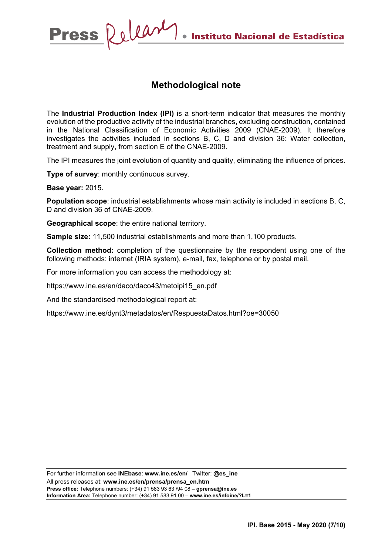# **Methodological note**

The **Industrial Production Index (IPI)** is a short-term indicator that measures the monthly evolution of the productive activity of the industrial branches, excluding construction, contained in the National Classification of Economic Activities 2009 (CNAE-2009). It therefore investigates the activities included in sections B, C, D and division 36: Water collection, treatment and supply, from section E of the CNAE-2009.

The IPI measures the joint evolution of quantity and quality, eliminating the influence of prices.

**Type of survey:** monthly continuous survey.

Press Releary

**Base year:** 2015.

**Population scope**: industrial establishments whose main activity is included in sections B, C, D and division 36 of CNAE-2009.

**Geographical scope**: the entire national territory.

**Sample size:** 11,500 industrial establishments and more than 1,100 products.

**Collection method:** completion of the questionnaire by the respondent using one of the following methods: internet (IRIA system), e-mail, fax, telephone or by postal mail.

For more information you can access the methodology at:

https://www.ine.es/en/daco/daco43/metoipi15\_en.pdf

And the standardised methodological report at:

https://www.ine.es/dynt3/metadatos/en/RespuestaDatos.html?oe=30050

For further information see **INEbase**: **www.ine.es/en/** Twitter: **@es\_ine**  All press releases at: **www.ine.es/en/prensa/prensa\_en.htm Press office:** Telephone numbers: (+34) 91 583 93 63 /94 08 – **gprensa@ine.es Information Area:** Telephone number: (+34) 91 583 91 00 – **www.ine.es/infoine/?L=1**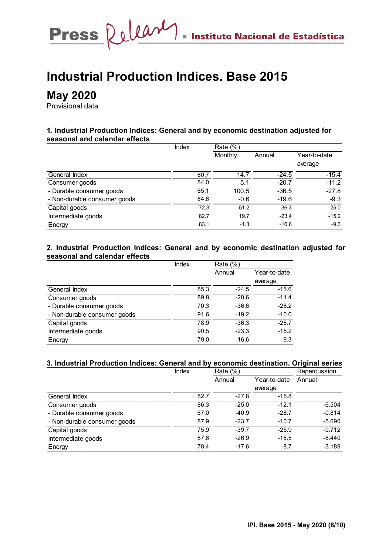# **Industrial Production Indices. Base 2015**

# **May 2020**

Provisional data

### **1. Industrial Production Indices: General and by economic destination adjusted for seasonal and calendar effects**

|                              | <b>Index</b> | Rate (%) |         |              |
|------------------------------|--------------|----------|---------|--------------|
|                              |              | Monthly  | Annual  | Year-to-date |
|                              |              |          |         | average      |
| General Index                | 80.7         | 14.7     | $-24.5$ | $-15.4$      |
| Consumer goods               | 84.0         | 5.1      | $-20.7$ | $-11.2$      |
| - Durable consumer goods     | 65.1         | 100.5    | $-36.5$ | $-27.8$      |
| - Non-durable consumer goods | 84.6         | $-0.6$   | $-19.6$ | $-9.3$       |
| Capital goods                | 72.3         | 51.2     | $-36.3$ | $-25.0$      |
| Intermediate goods           | 82.7         | 19.7     | $-23.4$ | $-15.2$      |
| Energy                       | 83.1         | $-1.3$   | $-16.6$ | $-9.3$       |

#### **2. Industrial Production Indices: General and by economic destination adjusted for seasonal and calendar effects**

|                              | <b>Index</b> | Rate (%) |              |
|------------------------------|--------------|----------|--------------|
|                              |              | Annual   | Year-to-date |
|                              |              |          | average      |
| General Index                | 85.3         | $-24.5$  | $-15.6$      |
| Consumer goods               | 89.8         | $-20.6$  | $-11.4$      |
| - Durable consumer goods     | 70.3         | $-36.6$  | $-28.2$      |
| - Non-durable consumer goods | 91.6         | $-19.2$  | $-10.0$      |
| Capital goods                | 78.9         | $-36.3$  | $-25.7$      |
| Intermediate goods           | 90.5         | $-23.3$  | $-15.2$      |
| Energy                       | 79.0         | $-16.6$  | $-9.3$       |

## **3. Industrial Production Indices: General and by economic destination. Original series**

|                              | <b>Index</b> | Rate (%) |              | Repercussion |
|------------------------------|--------------|----------|--------------|--------------|
|                              |              | Annual   | Year-to-date | Annual       |
|                              |              |          | average      |              |
| General Index                | 82.7         | $-27.8$  | $-15.8$      |              |
| Consumer goods               | 86.3         | $-25.0$  | $-12.1$      | $-6.504$     |
| - Durable consumer goods     | 67.0         | $-40.9$  | $-28.7$      | $-0.814$     |
| - Non-durable consumer goods | 87.9         | $-23.7$  | $-10.7$      | $-5.690$     |
| Capital goods                | 75.9         | $-39.7$  | $-25.9$      | $-9.712$     |
| Intermediate goods           | 87.6         | $-26.9$  | $-15.5$      | $-8.440$     |
| Energy                       | 78.4         | $-17.6$  | $-8.7$       | $-3.189$     |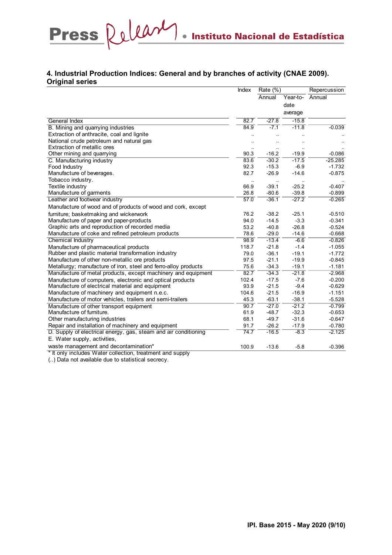#### **4. Industrial Production Indices: General and by branches of activity (CNAE 2009). Original series**

|                                                                                                 | Index<br>Rate $(\%)$ |           | Repercussion     |           |
|-------------------------------------------------------------------------------------------------|----------------------|-----------|------------------|-----------|
|                                                                                                 |                      | Annual    | Year-to-<br>date | Annual    |
|                                                                                                 |                      |           | average          |           |
| General Index                                                                                   | 82.7                 | $-27.8$   | $-15.8$          |           |
| B. Mining and quarrying industries                                                              | 84.9                 | $-7.1$    | $-11.8$          | $-0.039$  |
| Extraction of anthracite, coal and lignite                                                      | $\ddot{\phantom{a}}$ | ä.        |                  |           |
| National crude petroleum and natural gas                                                        |                      | μ,        |                  |           |
| <b>Extraction of metallic ores</b>                                                              | Ω.                   |           |                  |           |
| Other mining and quarrying                                                                      | 90.3                 | $-16.2$   | $-19.9$          | $-0.086$  |
| C. Manufacturing industry                                                                       | 83.6                 | $-30.2$   | $-17.5$          | $-25.285$ |
| Food Industry                                                                                   | 92.3                 | $-15.3$   | $-6.9$           | $-1.732$  |
| Manufacture of beverages.                                                                       | 82.7                 | $-26.9$   | $-14.6$          | $-0.875$  |
| Tobacco industry.                                                                               | $\ddotsc$            | $\ddotsc$ | $\ddotsc$        |           |
| Textile industry                                                                                | 66.9                 | $-39.1$   | $-25.2$          | $-0.407$  |
| Manufacture of garments                                                                         | 26.8                 | $-80.6$   | $-39.8$          | $-0.899$  |
| Leather and footwear industry                                                                   | 57.0                 | $-36.1$   | $-27.2$          | $-0.265$  |
| Manufacture of wood and of products of wood and cork, except                                    |                      |           |                  |           |
| furniture; basketmaking and wickerwork                                                          | 76.2                 | $-38.2$   | $-25.1$          | $-0.510$  |
| Manufacture of paper and paper-products                                                         | 94.0                 | $-14.5$   | $-3.3$           | $-0.341$  |
| Graphic arts and reproduction of recorded media                                                 | 53.2                 | $-40.8$   | $-26.8$          | $-0.524$  |
| Manufacture of coke and refined petroleum products                                              | 78.6                 | $-29.0$   | $-14.6$          | $-0.668$  |
| <b>Chemical Industry</b>                                                                        | 98.9                 | $-13.4$   | $-6.6$           | $-0.826$  |
| Manufacture of pharmaceutical products                                                          | 118.7                | $-21.8$   | $-1.4$           | $-1.055$  |
| Rubber and plastic material transformation industry                                             | 79.0                 | $-36.1$   | $-19.1$          | $-1.772$  |
| Manufacture of other non-metallic ore products                                                  | 97.5                 | $-21.1$   | $-19.9$          | $-0.845$  |
| Metallurgy; manufacture of iron, steel and ferro-alloy products                                 | 75.6                 | $-34.3$   | $-19.1$          | $-1.181$  |
| Manufacture of metal products, except machinery and equipment                                   | 82.7                 | $-34.3$   | $-21.8$          | $-2.968$  |
| Manufacture of computers, electronic and optical products                                       | 102.4                | $-17.5$   | $-7.6$           | $-0.200$  |
| Manufacture of electrical material and equipment                                                | 93.9                 | $-21.5$   | $-9.4$           | $-0.629$  |
| Manufacture of machinery and equipment n.e.c.                                                   | 104.6                | $-21.5$   | $-16.9$          | $-1.151$  |
| Manufacture of motor vehicles, trailers and semi-trailers                                       | 45.3                 | $-63.1$   | $-38.1$          | $-5.528$  |
| Manufacture of other transport equipment                                                        | 90.7                 | $-27.0$   | $-21.2$          | $-0.799$  |
| Manufacture of furniture.                                                                       | 61.9                 | $-48.7$   | $-32.3$          | $-0.653$  |
| Other manufacturing industries                                                                  | 68.1                 | $-49.7$   | $-31.6$          | $-0.647$  |
| Repair and installation of machinery and equipment                                              | 91.7                 | $-26.2$   | $-17.9$          | $-0.780$  |
| D. Supply of electrical energy, gas, steam and air conditioning<br>E. Water supply, activities, | 74.7                 | $-16.5$   | $-8.3$           | $-2.125$  |
|                                                                                                 |                      |           |                  |           |
| waste management and decontamination*                                                           | 100.9                | $-13.6$   | $-5.8$           | $-0.396$  |

\* It only includes Water collection, treatment and supply

Press Release

(..) Data not available due to statistical secrecy.